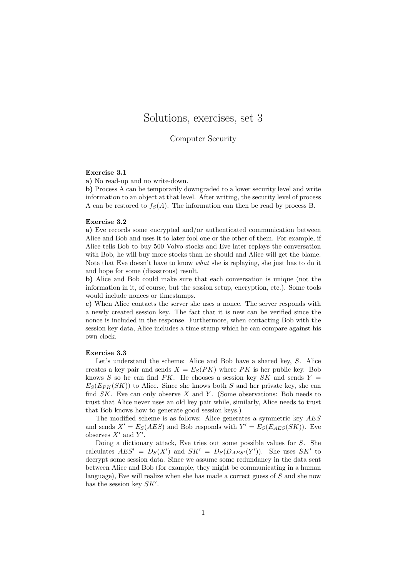# Solutions, exercises, set 3

# Computer Security

#### Exercise 3.1

a) No read-up and no write-down.

b) Process A can be temporarily downgraded to a lower security level and write information to an object at that level. After writing, the security level of process A can be restored to  $f_S(A)$ . The information can then be read by process B.

# Exercise 3.2

a) Eve records some encrypted and/or authenticated communication between Alice and Bob and uses it to later fool one or the other of them. For example, if Alice tells Bob to buy 500 Volvo stocks and Eve later replays the conversation with Bob, he will buy more stocks than he should and Alice will get the blame. Note that Eve doesn't have to know *what* she is replaying, she just has to do it and hope for some (disastrous) result.

b) Alice and Bob could make sure that each conversation is unique (not the information in it, of course, but the session setup, encryption, etc.). Some tools would include nonces or timestamps.

c) When Alice contacts the server she uses a nonce. The server responds with a newly created session key. The fact that it is new can be verified since the nonce is included in the response. Furthermore, when contacting Bob with the session key data, Alice includes a time stamp which he can compare against his own clock.

#### Exercise 3.3

Let's understand the scheme: Alice and Bob have a shared key, S. Alice creates a key pair and sends  $X = E<sub>S</sub>(PK)$  where PK is her public key. Bob knows S so he can find  $PK$ . He chooses a session key SK and sends  $Y =$  $E_S(E_{PK}(SK))$  to Alice. Since she knows both S and her private key, she can find  $SK$ . Eve can only observe X and Y. (Some observations: Bob needs to trust that Alice never uses an old key pair while, similarly, Alice needs to trust that Bob knows how to generate good session keys.)

The modified scheme is as follows: Alice generates a symmetric key AES and sends  $X' = E_S(AES)$  and Bob responds with  $Y' = E_S(E_{AES}(SK))$ . Eve observes  $X'$  and  $Y'$ .

Doing a dictionary attack, Eve tries out some possible values for S. She calculates  $AES' = D_S(X')$  and  $SK' = D_S(D_{AES'}(Y'))$ . She uses  $SK'$  to decrypt some session data. Since we assume some redundancy in the data sent between Alice and Bob (for example, they might be communicating in a human language), Eve will realize when she has made a correct guess of S and she now has the session key  $SK'$ .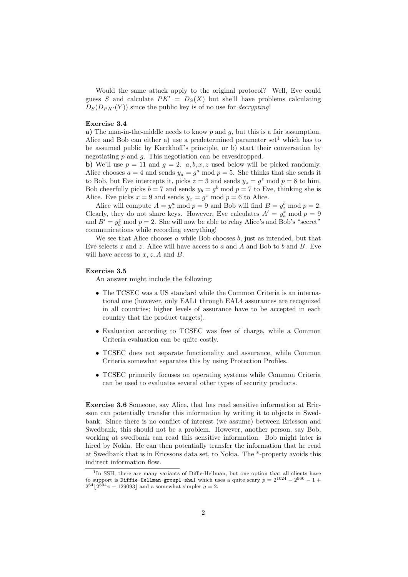Would the same attack apply to the original protocol? Well, Eve could guess S and calculate  $PK' = D<sub>S</sub>(X)$  but she'll have problems calculating  $D_S(D_{PK'}(Y))$  since the public key is of no use for *decrypting*!

## Exercise 3.4

a) The man-in-the-middle needs to know  $p$  and  $q$ , but this is a fair assumption. Alice and Bob can either a) use a predetermined parameter set<sup>1</sup> which has to be assumed public by Kerckhoff's principle, or b) start their conversation by negotiating  $p$  and  $q$ . This negotiation can be eavesdropped.

b) We'll use  $p = 11$  and  $q = 2$ .  $a, b, x, z$  used below will be picked randomly. Alice chooses  $a = 4$  and sends  $y_a = g^a \mod p = 5$ . She thinks that she sends it to Bob, but Eve intercepts it, picks  $z = 3$  and sends  $y_z = g^z \mod p = 8$  to him. Bob cheerfully picks  $b = 7$  and sends  $y_b = g^b \mod p = 7$  to Eve, thinking she is Alice. Eve picks  $x = 9$  and sends  $y_x = g^x \mod p = 6$  to Alice.

Alice will compute  $A = y_x^a \text{ mod } p = 9$  and Bob will find  $B = y_z^b \text{ mod } p = 2$ . Clearly, they do not share keys. However, Eve calculates  $A' = y_a^x \mod p = 9$ and  $B' = y_b^z \mod p = 2$ . She will now be able to relay Alice's and Bob's "secret" communications while recording everything!

We see that Alice chooses  $a$  while Bob chooses  $b$ , just as intended, but that Eve selects x and z. Alice will have access to a and A and Bob to b and B. Eve will have access to  $x, z, A$  and  $B$ .

### Exercise 3.5

An answer might include the following:

- The TCSEC was a US standard while the Common Criteria is an international one (however, only EAL1 through EAL4 assurances are recognized in all countries; higher levels of assurance have to be accepted in each country that the product targets).
- Evaluation according to TCSEC was free of charge, while a Common Criteria evaluation can be quite costly.
- TCSEC does not separate functionality and assurance, while Common Criteria somewhat separates this by using Protection Profiles.
- TCSEC primarily focuses on operating systems while Common Criteria can be used to evaluates several other types of security products.

Exercise 3.6 Someone, say Alice, that has read sensitive information at Ericsson can potentially transfer this information by writing it to objects in Swedbank. Since there is no conflict of interest (we assume) between Ericsson and Swedbank, this should not be a problem. However, another person, say Bob, working at swedbank can read this sensitive information. Bob might later is hired by Nokia. He can then potentially transfer the information that he read at Swedbank that is in Ericssons data set, to Nokia. The \*-property avoids this indirect information flow.

<sup>&</sup>lt;sup>1</sup>In SSH, there are many variants of Diffie-Hellman, but one option that all clients have to support is <code>Diffie-Hellman-group1-sha1</code> which uses a quite scary  $p = 2^{1024} - 2^{960} - 1 +$  $2^{64}$ | $2^{894}\pi + 129093$ | and a somewhat simpler  $g = 2$ .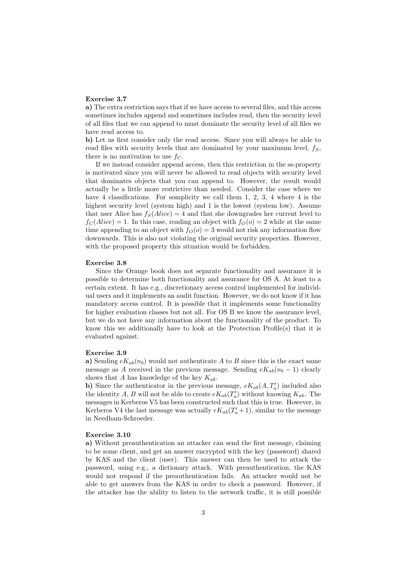#### Exercise 3.7

a) The extra restriction says that if we have access to several files, and this access sometimes includes append and sometimes includes read, then the security level of all files that we can append to must dominate the security level of all files we have read access to.

b) Let us first consider only the read access. Since you will always be able to read files with security levels that are dominated by your maximum level,  $f<sub>S</sub>$ , there is no motivation to use  $f_C$ .

If we instead consider append access, then this restriction in the ss-property is motivated since you will never be allowed to read objects with security level that dominates objects that you can append to. However, the result would actually be a little more restrictive than needed. Consider the case where we have 4 classifications. For somplicity we call them 1, 2, 3, 4 where 4 is the highest security level (system high) and 1 is the lowest (system low). Assume that user Alice has  $f_S(Alice) = 4$  and that she downgrades her current level to  $f_C(Alice) = 1$ . In this case, reading an object with  $f_O(o) = 2$  while at the same time appending to an object with  $f<sub>O</sub>(o) = 3$  would not risk any information flow downwards. This is also not violating the original security properties. However, with the proposed property this situation would be forbidden.

#### Exercise 3.8

Since the Orange book does not separate functionality and assurance it is possible to determine both functionality and assurance for OS A. At least to a certain extent. It has e.g., discretionary access control implemented for individual users and it implements an audit function. However, we do not know if it has mandatory access control. It is possible that it implements some functionality for higher evaluation classes but not all. For OS B we know the assurance level, but we do not have any information about the functionality of the product. To know this we additionally have to look at the Protection Profile(s) that it is evaluated against.

#### Exercise 3.9

a) Sending  $eK_{ab}(n_b)$  would not authenticate A to B since this is the exact same message as A received in the previous message. Sending  $eK_{ab}(n_b - 1)$  clearly shows that A has knowledge of the key  $K_{ab}$ .

b) Since the authenticator in the previous message,  $eK_{ab}(A, T'_a)$  included also the identity A, B will not be able to create  $eK_{ab}(T_a)$  without knowing  $K_{ab}$ . The messages in Kerberos V5 has been constructed such that this is true. However, in Kerberos V4 the last message was actually  $eK_{ab}(T_a'+1)$ , similar to the message in Needham-Schroeder.

### Exercise 3.10

a) Without preauthentication an attacker can send the first message, claiming to be some client, and get an answer encrypted with the key (password) shared by KAS and the client (user). This answer can then be used to attack the password, using e.g., a dictionary attack. With preauthentication, the KAS would not respond if the preauthentication fails. An attacker would not be able to get answers from the KAS in order to check a password. However, if the attacker has the ability to listen to the network traffic, it is still possible